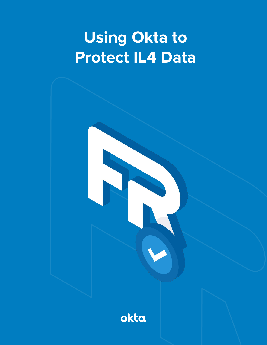# **Using Okta to Protect IL4 Data**

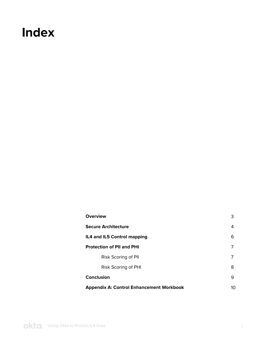### **Index**

| <b>Overview</b>                                       | 3 |  |  |  |  |  |
|-------------------------------------------------------|---|--|--|--|--|--|
| <b>Secure Architecture</b>                            |   |  |  |  |  |  |
| IL4 and IL5 Control mapping                           |   |  |  |  |  |  |
| <b>Protection of PII and PHI</b><br>7                 |   |  |  |  |  |  |
| Risk Scoring of Pll                                   | 7 |  |  |  |  |  |
| Risk Scoring of PHI                                   | 8 |  |  |  |  |  |
| Conclusion<br>9                                       |   |  |  |  |  |  |
| <b>Appendix A: Control Enhancement Workbook</b><br>10 |   |  |  |  |  |  |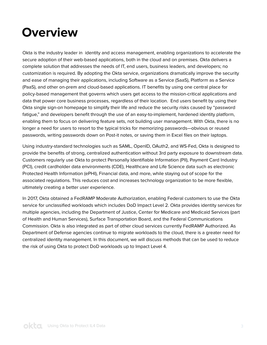### <span id="page-2-0"></span>**Overview**

Okta is the industry leader in identity and access management, enabling organizations to accelerate the secure adoption of their web-based applications, both in the cloud and on premises. Okta delivers a complete solution that addresses the needs of IT, end users, business leaders, and developers; no customization is required. By adopting the Okta service, organizations dramatically improve the security and ease of managing their applications, including Software as a Service (SaaS), Platform as a Service (PaaS), and other on-prem and cloud-based applications. IT benefits by using one central place for policy-based management that governs which users get access to the mission-critical applications and data that power core business processes, regardless of their location. End users benefit by using their Okta single sign-on homepage to simplify their life and reduce the security risks caused by "password fatigue," and developers benefit through the use of an easy-to-implement, hardened identity platform, enabling them to focus on delivering feature sets, not building user management. With Okta, there is no longer a need for users to resort to the typical tricks for memorizing passwords—obvious or reused passwords, writing passwords down on Post-it notes, or saving them in Excel files on their laptops.

Using industry-standard technologies such as SAML, OpenID, OAuth2, and WS-Fed, Okta is designed to provide the benefits of strong, centralized authentication without 3rd party exposure to downstream data. Customers regularly use Okta to protect Personally Identifiable Information (PII), Payment Card Industry (PCI), credit cardholder data environments (CDE), Healthcare and Life Science data such as electronic Protected Health Information (ePHI), Financial data, and more, while staying out of scope for the associated regulations. This reduces cost and increases technology organization to be more flexible, ultimately creating a better user experience.

In 2017, Okta obtained a FedRAMP Moderate Authorization, enabling Federal customers to use the Okta service for unclassified workloads which includes DoD Impact Level 2. Okta provides identity services for multiple agencies, including the Department of Justice, Center for Medicare and Medicaid Services (part of Health and Human Services), Surface Transportation Board, and the Federal Communications Commission. Okta is also integrated as part of other cloud services currently FedRAMP Authorized. As Department of Defense agencies continue to migrate workloads to the cloud, there is a greater need for centralized identity management. In this document, we will discuss methods that can be used to reduce the risk of using Okta to protect DoD workloads up to Impact Level 4.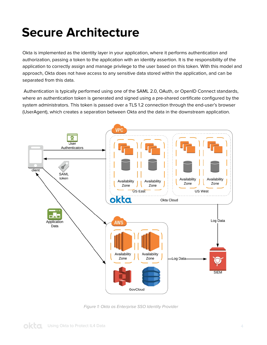## <span id="page-3-0"></span>**Secure Architecture**

Okta is implemented as the identity layer in your application, where it performs authentication and authorization, passing a token to the application with an identity assertion. It is the responsibility of the application to correctly assign and manage privilege to the user based on this token. With this model and approach, Okta does not have access to any sensitive data stored within the application, and can be separated from this data.

 Authentication is typically performed using one of the SAML 2.0, OAuth, or OpenID Connect standards, where an authentication token is generated and signed using a pre-shared certificate configured by the system administrators. This token is passed over a TLS 1.2 connection through the end-user's browser (UserAgent), which creates a separation between Okta and the data in the downstream application.



Figure 1: Okta as Enterprise SSO Identity Provider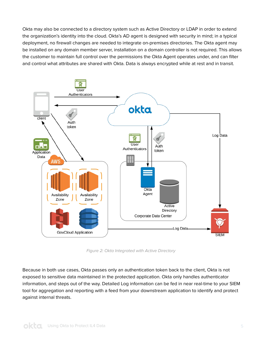Okta may also be connected to a directory system such as Active Directory or LDAP in order to extend the organization's identity into the cloud. Okta's AD agent is designed with security in mind; in a typical deployment, no firewall changes are needed to integrate on-premises directories. The Okta agent may be installed on any domain member server, installation on a domain controller is not required. This allows the customer to maintain full control over the permissions the Okta Agent operates under, and can filter and control what attributes are shared with Okta. Data is always encrypted while at rest and in transit.



Figure 2: Okta Integrated with Active Directory

Because in both use cases, Okta passes only an authentication token back to the client, Okta is not exposed to sensitive data maintained in the protected application. Okta only handles authenticator information, and steps out of the way. Detailed Log information can be fed in near real-time to your SIEM tool for aggregation and reporting with a feed from your downstream application to identify and protect against internal threats.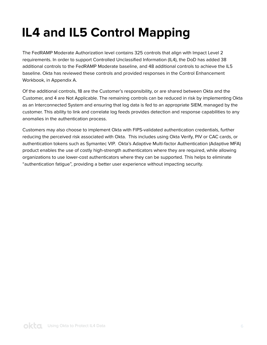## <span id="page-5-0"></span>**IL4 and IL5 Control Mapping**

The FedRAMP Moderate Authorization level contains 325 controls that align with Impact Level 2 requirements. In order to support Controlled Unclassified Information (IL4), the DoD has added 38 additional controls to the FedRAMP Moderate baseline, and 48 additional controls to achieve the IL5 baseline. Okta has reviewed these controls and provided responses in the Control Enhancement Workbook, in Appendix A.

Of the additional controls, 18 are the Customer's responsibility, or are shared between Okta and the Customer, and 4 are Not Applicable. The remaining controls can be reduced in risk by implementing Okta as an Interconnected System and ensuring that log data is fed to an appropriate SIEM, managed by the customer. This ability to link and correlate log feeds provides detection and response capabilities to any anomalies in the authentication process.

Customers may also choose to implement Okta with FIPS-validated authentication credentials, further reducing the perceived risk associated with Okta. This includes using Okta Verify, PIV or CAC cards, or authentication tokens such as Symantec VIP. Okta's Adaptive Multi-factor Authentication (Adaptive MFA) product enables the use of costly high-strength authenticators where they are required, while allowing organizations to use lower-cost authenticators where they can be supported. This helps to eliminate "authentication fatigue", providing a better user experience without impacting security.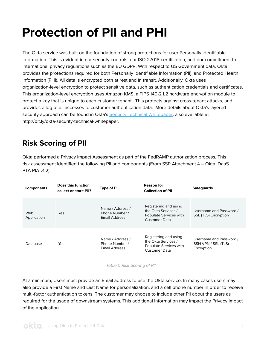## <span id="page-6-0"></span>**Protection of PII and PHI**

The Okta service was built on the foundation of strong protections for user Personally Identifiable Information. This is evident in our security controls, our ISO 27018 certification, and our commitment to international privacy regulations such as the EU GDPR. With respect to US Government data, Okta provides the protections required for both Personally Identifiable Information (PII), and Protected Health Information (PHI). All data is encrypted both at rest and in transit. Additionally, Okta uses organization-level encryption to protect sensitive data, such as authentication credentials and certificates. This organization-level encryption uses Amazon KMS, a FIPS 140-2 L2 hardware encryption module to protect a key that is unique to each customer tenant. This protects against cross-tenant attacks, and provides a log of all accesses to customer authentication data. More details about Okta's layered security approach can be found in Okta's [Security Technical Whitepaper](https://www.okta.com/resources/whitepaper-okta-security-technical-white-paper/thankyou/), also available at http://bit.ly/okta-security-technical-whitepaper.

### **Risk Scoring of PII**

Okta performed a Privacy Impact Assessment as part of the FedRAMP authorization process. This risk assessment identified the following PII and components (From SSP Attachment 4 – Okta IDaaS PTA PIA v1.2):

| <b>Components</b>  | Does this function<br>collect or store PII? | <b>Type of PII</b>                                  | <b>Reason for</b><br><b>Collection of PII</b>                                                  | <b>Safeguards</b>                                            |
|--------------------|---------------------------------------------|-----------------------------------------------------|------------------------------------------------------------------------------------------------|--------------------------------------------------------------|
| Web<br>Application | Yes                                         | Name / Address /<br>Phone Number /<br>Email Address | Registering and using<br>the Okta Services /<br>Populate Services with<br><b>Customer Data</b> | Username and Password /<br>SSL (TLS) Encryption              |
| Database           | Yes                                         | Name / Address /<br>Phone Number /<br>Email Address | Registering and using<br>the Okta Services /<br>Populate Services with<br><b>Customer Data</b> | Username and Password /<br>SSH VPN / SSL (TLS)<br>Encryption |

Table 1: Risk Scoring of PII

At a minimum, Users must provide an Email address to use the Okta service. In many cases users may also provide a First Name and Last Name for personalization, and a cell phone number in order to receive multi-factor authentication tokens. The customer may choose to include other PII about the users as required for the usage of downstream systems. This additional information may impact the Privacy Impact of the application.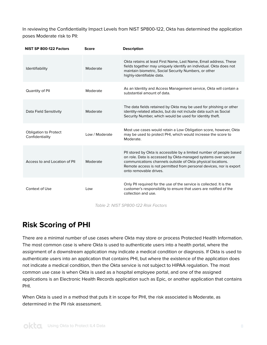<span id="page-7-0"></span>In reviewing the Confidentiality Impact Levels from NIST SP800-122, Okta has determined the application poses Moderate risk to PII:

| NIST SP 800-122 Factors                         | <b>Score</b>   | <b>Description</b>                                                                                                                                                                                                                                                                                    |
|-------------------------------------------------|----------------|-------------------------------------------------------------------------------------------------------------------------------------------------------------------------------------------------------------------------------------------------------------------------------------------------------|
| Identifiability                                 | Moderate       | Okta retains at least First Name, Last Name, Email address. These<br>fields together may uniquely identify an individual. Okta does not<br>maintain biometric, Social Security Numbers, or other<br>highly-identifiable data.                                                                         |
| Quantity of Pll                                 | Moderate       | As an Identity and Access Management service, Okta will contain a<br>substantial amount of data.                                                                                                                                                                                                      |
| Data Field Sensitivity                          | Moderate       | The data fields retained by Okta may be used for phishing or other<br>identity-related attacks, but do not include data such as Social<br>Security Number, which would be used for identity theft.                                                                                                    |
| <b>Obligation to Protect</b><br>Confidentiality | Low / Moderate | Most use cases would retain a Low Obligation score, however, Okta<br>may be used to protect PHI, which would increase the score to<br>Moderate.                                                                                                                                                       |
| Access to and Location of PII                   | Moderate       | PII stored by Okta is accessible by a limited number of people based<br>on role. Data is accessed by Okta-managed systems over secure<br>communications channels outside of Okta physical locations.<br>Remote access is not permitted from personal devices, nor is export<br>onto removable drives. |
| Context of Use                                  | Low            | Only PII required for the use of the service is collected. It is the<br>customer's responsibility to ensure that users are notified of the<br>collection and use.                                                                                                                                     |

Table 2: NIST SP800-122 Risk Factors

### **Risk Scoring of PHI**

There are a minimal number of use cases where Okta may store or process Protected Health Information. The most common case is where Okta is used to authenticate users into a health portal, where the assignment of a downstream application may indicate a medical condition or diagnosis. If Okta is used to authenticate users into an application that contains PHI, but where the existence of the application does not indicate a medical condition, then the Okta service is not subject to HIPAA regulation. The most common use case is when Okta is used as a hospital employee portal, and one of the assigned applications is an Electronic Health Records application such as Epic, or another application that contains PHI.

When Okta is used in a method that puts it in scope for PHI, the risk associated is Moderate, as determined in the PII risk assessment.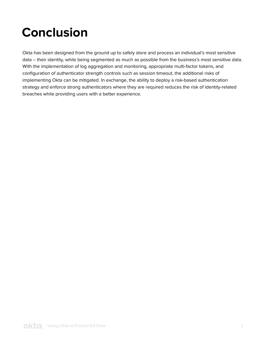## <span id="page-8-0"></span>**Conclusion**

Okta has been designed from the ground up to safely store and process an individual's most sensitive data – their identity, while being segmented as much as possible from the business's most sensitive data. With the implementation of log aggregation and monitoring, appropriate multi-factor tokens, and configuration of authenticator strength controls such as session timeout, the additional risks of implementing Okta can be mitigated. In exchange, the ability to deploy a risk-based authentication strategy and enforce strong authenticators where they are required reduces the risk of identity-related breaches while providing users with a better experience.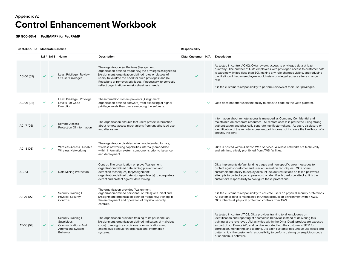### **Control Enhancement Workbook Appendix A:**

**SP 800-53r4 FedRAMP+ for FedRAMP**

| Cont./Enh. ID | <b>Moderate Baseline</b> |  |                                                                                                       |                                                                                                                                                                                                                                                                                                                                                |  |                   | <b>Responsibility</b> |                                                                                                                                                                                                                                                                                                                                                                                                                                                                                                                                       |  |  |  |  |
|---------------|--------------------------|--|-------------------------------------------------------------------------------------------------------|------------------------------------------------------------------------------------------------------------------------------------------------------------------------------------------------------------------------------------------------------------------------------------------------------------------------------------------------|--|-------------------|-----------------------|---------------------------------------------------------------------------------------------------------------------------------------------------------------------------------------------------------------------------------------------------------------------------------------------------------------------------------------------------------------------------------------------------------------------------------------------------------------------------------------------------------------------------------------|--|--|--|--|
|               |                          |  | Lvl 4 Lvl 5 Name                                                                                      | <b>Description</b>                                                                                                                                                                                                                                                                                                                             |  | Okta Customer N/A |                       | <b>Description</b>                                                                                                                                                                                                                                                                                                                                                                                                                                                                                                                    |  |  |  |  |
| AC-06 (07)    |                          |  | Least Privilege   Review<br>Of User Privileges                                                        | The organization: (a) Reviews [Assignment:<br>organization-defined frequency] the privileges assigned to<br>[Assignment: organization-defined roles or classes of<br>users] to validate the need for such privileges; and (b)<br>Reassigns or removes privileges, if necessary, to correctly<br>reflect organizational mission/business needs. |  | $\checkmark$      |                       | As tested in control AC-02, Okta reviews access to privileged data at least<br>quarterly. The number of Okta employees with privileged access to customer data<br>is extremely limited (less than 30), making any role changes visible, and reducing<br>the likelihood that an employee would retain privileged access after a change in<br>role.<br>It is the customer's responsibility to perform reviews of their user privileges.                                                                                                 |  |  |  |  |
| AC-06 (08)    |                          |  | Least Privilege   Privilege<br>Levels For Code<br>Execution                                           | The information system prevents [Assignment:<br>organization-defined software] from executing at higher<br>privilege levels than users executing the software.                                                                                                                                                                                 |  |                   |                       | Okta does not offer users the ability to execute code on the Okta platform.                                                                                                                                                                                                                                                                                                                                                                                                                                                           |  |  |  |  |
| AC-17 (06)    |                          |  | Remote Access  <br>Protection Of Information                                                          | The organization ensures that users protect information<br>about remote access mechanisms from unauthorized use<br>and disclosure.                                                                                                                                                                                                             |  | $\checkmark$      |                       | Information about remote access is managed as Company Confidential and<br>maintained on corporate resources. All remote access is protected using strong<br>authentication and physically separate multifactor tokens. As such, disclosure or<br>identification of the remote access endpoints does not increase the likelihood of a<br>security incident.                                                                                                                                                                            |  |  |  |  |
| AC-18 (03)    |                          |  | Wireless Access   Disable<br>Wireless Networking                                                      | The organization disables, when not intended for use,<br>wireless networking capabilities internally embedded<br>within information system components prior to issuance<br>and deployment.                                                                                                                                                     |  |                   |                       | Okta is hosted within Amazon Web Services. Wireless networks are technically<br>and administratively prohibited from AWS facilities.                                                                                                                                                                                                                                                                                                                                                                                                  |  |  |  |  |
| $AC-23$       |                          |  | Data Mining Protection                                                                                | Control: The organization employs [Assignment:<br>organization-defined data mining prevention and<br>detection techniques] for [Assignment:<br>organization-defined data storage objects] to adequately<br>detect and protect against data mining.                                                                                             |  | $\checkmark$      |                       | Okta implements default landing pages and non-specific error messages to<br>protect against customer and user enumeration techniques. Okta offers<br>customers the ability to deploy account lockout restrictions on failed password<br>attempts to protect against password or identifier brute-force attacks. It is the<br>customer's responsibility to configure these protections.                                                                                                                                                |  |  |  |  |
| AT-03 (02)    |                          |  | Security Training  <br><b>Physical Security</b><br>Controls                                           | The organization provides [Assignment:<br>organization-defined personnel or roles] with initial and<br>[Assignment: organization-defined frequency] training in<br>the employment and operation of physical security<br>controls.                                                                                                              |  | $\checkmark$      |                       | It is the customer's responsibility to educate users on physical security protections.<br>All customer data is maintained in Okta's production environment within AWS.<br>Okta inherits all physical protection controls from AWS.                                                                                                                                                                                                                                                                                                    |  |  |  |  |
| AT-03 (04)    |                          |  | Security Training I<br><b>Suspicious</b><br><b>Communications And</b><br>Anomalous System<br>Behavior | The organization provides training to its personnel on<br>[Assignment: organization-defined indicators of malicious<br>code] to recognize suspicious communications and<br>anomalous behavior in organizational information<br>systems.                                                                                                        |  |                   |                       | As tested in control AT-02, Okta provides training to all employees on<br>identification and reporting of anomalous behavior, instead of delivering this<br>training at the role level. ALI activities within the Okta IDaaS product are exposed<br>as part of our Events API, and can be imported into the customer's SIEM for<br>correlation, monitoring, and alerting. As each customer has unique use cases and<br>patterns, it is the customer's responsibility to perform training on suspicious code<br>or anomalous behavior. |  |  |  |  |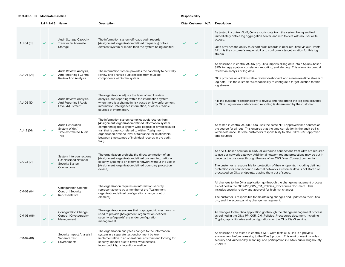|            | Lvl 4 Lvl 5 Name             |                                                                                             | <b>Description</b>                                                                                                                                                                                                                                                                                                                                                 |   | Okta Customer N/A |  | <b>Description</b>                                                                                                                                                                                                                                                                                                                                                                                                                                                                  |  |  |  |
|------------|------------------------------|---------------------------------------------------------------------------------------------|--------------------------------------------------------------------------------------------------------------------------------------------------------------------------------------------------------------------------------------------------------------------------------------------------------------------------------------------------------------------|---|-------------------|--|-------------------------------------------------------------------------------------------------------------------------------------------------------------------------------------------------------------------------------------------------------------------------------------------------------------------------------------------------------------------------------------------------------------------------------------------------------------------------------------|--|--|--|
| AU-04 (01) | $\checkmark$                 | Audit Storage Capacity I<br>Transfer To Alternate<br>Storage                                | The information system off-loads audit records<br>[Assignment: organization-defined frequency] onto a<br>different system or media than the system being audited.                                                                                                                                                                                                  |   | $\checkmark$      |  | As tested in control AU-9, Okta exports data from the system being audited<br>immediately onto a log aggregation server, and into folders with no user write<br>access.<br>Okta provides the ability to export audit records in near-real-time via our Events<br>API. It is the customer's responsibility to configure a target location for this log<br>stream.                                                                                                                    |  |  |  |
| AU-06 (04) |                              | Audit Review, Analysis,<br>And Reporting   Central<br>Review And Analysis                   | The information system provides the capability to centrally<br>review and analyze audit records from multiple<br>components within the system.                                                                                                                                                                                                                     |   | $\checkmark$      |  | As described in control AU-06 (01), Okta imports all log data into a Splunk-based<br>SIEM for aggregation, correlation, reporting, and alerting. This allows for central<br>review an analysis of log data.<br>Okta provides an administrative review dashboard, and a near-real-time stream of<br>log data. It is the customer's responsibility to configure a target location for this<br>log stream.                                                                             |  |  |  |
| AU-06 (10) | $\checkmark$                 | Audit Review, Analysis,<br>And Reporting   Audit<br>Level Adjustment                        | The organization adjusts the level of audit review,<br>analysis, and reporting within the information system<br>when there is a change in risk based on law enforcement<br>information, intelligence information, or other credible<br>sources of information.                                                                                                     |   |                   |  | It is the customer's responsibility to review and respond to the log data provided<br>by Okta. Log review cadence and reporting is determined by the customer.                                                                                                                                                                                                                                                                                                                      |  |  |  |
| AU-12 (01) | $\checkmark$                 | Audit Generation  <br>System-Wide /<br>Time-Correlated Audit<br>Trail                       | The information system compiles audit records from<br>[Assignment: organization-defined information system<br>components] into a system-wide (logical or physical) audit<br>trail that is time- correlated to within [Assignment:<br>organization-defined level of tolerance for relationship<br>between time stamps of individual records in the audit<br>trail]. |   | $\checkmark$      |  | As tested in control AU-08, Okta uses the same NIST-approved time sources as<br>the source for all logs This ensures that the time correlation in the audit trail is<br>within tolerance. It is the customer's responsibility to also utilize NIST-approved<br>time sources.                                                                                                                                                                                                        |  |  |  |
| CA-03 (01) | ✓                            | System Interconnections<br>  Unclassified National<br><b>Security System</b><br>Connections | The organization prohibits the direct connection of an<br>[Assignment: organization-defined unclassified, national<br>security system] to an external network without the use of<br>[Assignment: organization-defined boundary protection<br>device].                                                                                                              |   | $\checkmark$      |  | As a VPC-based solution in AWS, all outbound connections from Okta are required<br>to use our network gateway. Additional network routing protections may be put in<br>place by the customer through the use of an AWS DirectConnect connection.<br>The customer is responsible for protection of their endpoints, including defining<br>protections for connection to external networks. Customer data is not stored or<br>processed on Okta endpoints, placing them out of scope. |  |  |  |
| CM-03 (04) |                              | Configuration Change<br>Control   Security<br>Representative                                | The organization requires an information security<br>representative to be a member of the [Assignment:<br>organization-defined configuration change control<br>element].                                                                                                                                                                                           |   | $\checkmark$      |  | All changes to the Okta application go through the change management process<br>as defined in the Okta-PP_005_CM_Policies_Procedures document. This<br>includes security review and approval for high risk changes.<br>The customer is responsible for maintaining changes and updates to their Okta<br>org, and the accompanying change management.                                                                                                                                |  |  |  |
| CM-03 (06) | $\checkmark$<br>$\checkmark$ | <b>Configuration Change</b><br>Control   Cryptography<br>Management                         | The organization ensures that cryptographic mechanisms<br>used to provide [Assignment: organization-defined<br>security safeguards] are under configuration<br>management.                                                                                                                                                                                         | ✓ |                   |  | All changes to the Okta application go through the change management process<br>as defined in the Okta-PP_005_CM_Policies_Procedures document, including<br>Cryptographic libraries and configurations for the Okta IDaaS service.                                                                                                                                                                                                                                                  |  |  |  |
| CM-04 (01) | ✓<br>$\checkmark$            | Security Impact Analysis I<br>Separate Test<br>Environments                                 | The organization analyzes changes to the information<br>system in a separate test environment before<br>implementation in an operational environment, looking for<br>security impacts due to flaws, weaknesses,<br>incompatibility, or intentional malice.                                                                                                         | ✓ |                   |  | As described and tested in control CM-3, Okta tests all builds in a preview<br>environment before releasing to the IDaaS product. This environment includes<br>security and vulnerability scanning, and participation in Okta's public bug bounty<br>program                                                                                                                                                                                                                        |  |  |  |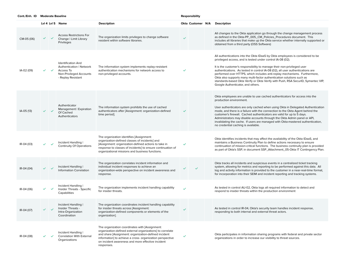|            |   |                           | Lvl 4 Lvl 5 Name                                                                                                    | <b>Description</b>                                                                                                                                                                                                                                                                                  |              | Okta Customer N/A | Description                                                                                                                                                                                                                                                                                                                                                                                                                                                                                                                                                                             |
|------------|---|---------------------------|---------------------------------------------------------------------------------------------------------------------|-----------------------------------------------------------------------------------------------------------------------------------------------------------------------------------------------------------------------------------------------------------------------------------------------------|--------------|-------------------|-----------------------------------------------------------------------------------------------------------------------------------------------------------------------------------------------------------------------------------------------------------------------------------------------------------------------------------------------------------------------------------------------------------------------------------------------------------------------------------------------------------------------------------------------------------------------------------------|
| CM-05 (06) | ✓ | $\checkmark$              | <b>Access Restrictions For</b><br>Change   Limit Library<br>Privileges                                              | The organization limits privileges to change software<br>resident within software libraries.                                                                                                                                                                                                        | $\checkmark$ |                   | All changes to the Okta application go through the change management process<br>as defined in the Okta-PP_005_CM_Policies_Procedures document. This<br>includes all libraries that make up the Okta service whether internally supported or<br>obtained from a third party (OSS Software)                                                                                                                                                                                                                                                                                               |
| IA-02 (09) |   |                           | <b>Identification And</b><br>Authentication   Network<br>Access To<br>Non-Privileged Accounts<br>- Replay Resistant | The information system implements replay-resistant<br>authentication mechanisms for network access to<br>non-privileged accounts.                                                                                                                                                                   | ✓            |                   | All authentications into the Okta IDaaS by Okta employees is considered to be<br>privileged access, and is tested under control IA-08 (02).<br>It is the customer's responsibility to manage their non-privileged user<br>authentications. As tested in control IA-08 (02), all user authentications are<br>performed over HTTPS, which includes anti-replay mechanisms. Furthermore,<br>Okta also supports many multi-factor authentication solutions such as<br>standards-based Okta Verify or Okta Verify with Push, RSA SecurlD, Symantec VIP,<br>Google Authenticator, and others. |
| IA-05 (13) |   |                           | Authenticator<br>Management   Expiration<br>Of Cached<br>Authenticators                                             | The information system prohibits the use of cached<br>authenticators after [Assignment: organization-defined<br>time period].                                                                                                                                                                       | ✓            |                   | Okta employees are unable to use cached authenticators for access into the<br>production environment.<br>User authenticators are only cached when using Okta in Delegated Authentication<br>mode, and there is a failure with the connection to the Okta Agent behind the<br>customer's firewall. Cached authenticators are valid for up to 5 days.<br>Administrators may disable accounts through the Okta Admin panel or API,<br>invalidating the cache. If users are managed with Okta-mastered authentication,<br>no credential caching is available.                               |
| IR-04 (03) |   |                           | Incident Handling I<br><b>Continuity Of Operations</b>                                                              | The organization identifies [Assignment:<br>organization-defined classes of incidents] and<br>[Assignment: organization-defined actions to take in<br>response to classes of incidents] to ensure continuation of<br>organizational missions and business functions.                                | ✓            |                   | Okta identifies incidents that may affect the availability of the Okta IDaaS, and<br>maintains a Business Continuity Plan to define actions necessary to ensure<br>continuation of mission-critical functions. The business continuity plan is provided<br>as part of Okta's SSP, in document SSP_Attachment_05-Okta IT Contingency Plan.                                                                                                                                                                                                                                               |
| IR-04 (04) |   |                           | Incident Handling I<br>Information Correlation                                                                      | The organization correlates incident information and<br>individual incident responses to achieve an<br>organization-wide perspective on incident awareness and<br>response.                                                                                                                         |              |                   | Okta tracks all incidents and suspicious events in a centralized ticket tracking<br>system, allowing for metrics and reporting to be performed against this data. All<br>log and activity information is provided to the customer in a near-real-time format,<br>for incorporation into their SEIM and incident reporting and tracking systems.                                                                                                                                                                                                                                         |
| IR-04 (06) |   | $\checkmark$ $\checkmark$ | Incident Handling I<br>Insider Threats - Specific<br>Capabilities                                                   | The organization implements incident handling capability<br>for insider threats.                                                                                                                                                                                                                    | $\checkmark$ |                   | As tested in control AU-02, Okta logs all required information to detect and<br>respond to insider threats within the production environment                                                                                                                                                                                                                                                                                                                                                                                                                                            |
| IR-04 (07) |   | $\checkmark$ $\checkmark$ | Incident Handling I<br>Insider Threats -<br>Intra-Organization<br>Coordination                                      | The organization coordinates incident handling capability<br>for insider threats across [Assignment:<br>organization-defined components or elements of the<br>organization].                                                                                                                        | $\checkmark$ |                   | As tested in control IR-04, Okta's security team handles incident response,<br>responding to both internal and external threat actors.                                                                                                                                                                                                                                                                                                                                                                                                                                                  |
| IR-04 (08) |   |                           | Incident Handling I<br><b>Correlation With External</b><br>Organizations                                            | The organization coordinates with [Assignment:<br>organization-defined external organizations] to correlate<br>and share [Assignment: organization-defined incident<br>information] to achieve a cross- organization perspective<br>on incident awareness and more effective incident<br>responses. | ✓            |                   | Okta participates in information sharing programs with federal and private sector<br>organizations in order to increase our visibility to threat sources.                                                                                                                                                                                                                                                                                                                                                                                                                               |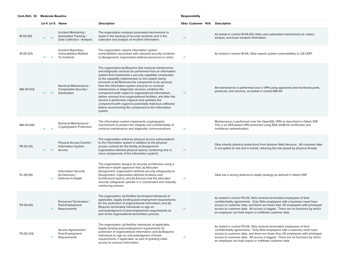|            |              | Lvl 4 Lvl 5 Name                                                            | <b>Description</b>                                                                                                                                                                                                                                                                                                                                                                                                                                                                                                                                                                                                                                                                                                  |              |  | Okta Customer N/A Description                                                                                                                                                                                                                                                                                                                                                       |
|------------|--------------|-----------------------------------------------------------------------------|---------------------------------------------------------------------------------------------------------------------------------------------------------------------------------------------------------------------------------------------------------------------------------------------------------------------------------------------------------------------------------------------------------------------------------------------------------------------------------------------------------------------------------------------------------------------------------------------------------------------------------------------------------------------------------------------------------------------|--------------|--|-------------------------------------------------------------------------------------------------------------------------------------------------------------------------------------------------------------------------------------------------------------------------------------------------------------------------------------------------------------------------------------|
| IR-05 (01) |              | Incident Monitoring I<br>Automated Tracking /<br>Data Collection / Analysis | The organization employs automated mechanisms to<br>assist in the tracking of security incidents and in the<br>collection and analysis of incident information.                                                                                                                                                                                                                                                                                                                                                                                                                                                                                                                                                     | $\checkmark$ |  | As tested in control IR-04 (01), Okta uses automated mechanisms to collect,<br>analyze, and track incident information.                                                                                                                                                                                                                                                             |
| IR-06 (02) |              | Incident Reporting I<br><b>Vulnerabilities Related</b><br>To Incidents      | The organization reports information system<br>vulnerabilities associated with reported security incidents<br>to [Assignment: organization-defined personnel or roles].                                                                                                                                                                                                                                                                                                                                                                                                                                                                                                                                             | $\checkmark$ |  | As tested in control IR-06, Okta reports system vulnerabilities to US-CERT                                                                                                                                                                                                                                                                                                          |
| MA-04 (03) |              | Nonlocal Maintenance  <br>Comparable Security /<br>Sanitization             | The organization:(a) Requires that nonlocal maintenance<br>and diagnostic services be performed from an information<br>system that implements a security capability comparable<br>to the capability implemented on the system being<br>serviced; or (b) Removes the component to be serviced<br>from the information system and prior to nonlocal<br>maintenance or diagnostic services, sanitizes the<br>component (with regard to organizational information)<br>before removal from organizational facilities, and after the<br>service is performed, inspects and sanitizes the<br>component (with regard to potentially malicious software)<br>before reconnecting the component to the information<br>system. |              |  | All maintenance is performed over a VPN using approved and monitored ports,<br>protocols, and services, as tested in control MA-04                                                                                                                                                                                                                                                  |
| MA-04 (06) |              | Nonlocal Maintenance I<br>Cryptographic Protection                          | The information system implements cryptographic<br>mechanisms to protect the integrity and confidentiality of<br>nonlocal maintenance and diagnostic communications.                                                                                                                                                                                                                                                                                                                                                                                                                                                                                                                                                | $\checkmark$ |  | Maintenance is performed over the OpenSSL VPN as described in Okta's SSP.<br>This is an AES-based VPN protected using RSA 2048 bit certificates and<br>multifactor authentication.                                                                                                                                                                                                  |
| PE-03 (01) |              | Physical Access Control  <br><b>Information System</b><br>Access            | The organization enforces physical access authorizations<br>to the information system in addition to the physical<br>access controls for the facility at [Assignment:<br>organization-defined physical spaces containing one or<br>more components of the information system].                                                                                                                                                                                                                                                                                                                                                                                                                                      | $\checkmark$ |  | Okta inherits physical protections from Amazon Web Services. All customer data<br>is encrypted at rest and in transit, reducing the risk posed by physical threats.                                                                                                                                                                                                                 |
| PL-08 (01) | $\checkmark$ | <b>Information Security</b><br>Architecture I<br>Defense-In-Depth           | The organization designs its security architecture using a<br>defense-in-depth approach that: (a) Allocates<br>[Assignment: organization-defined security safeguards] to<br>[Assignment: organization-defined locations and<br>architectural layers]; and (b) Ensures that the allocated<br>security safeguards operate in a coordinated and mutually<br>reinforcing manner.                                                                                                                                                                                                                                                                                                                                        | $\checkmark$ |  | Okta has a strong defense-in-depth strategy as defined in Okta's SSP.                                                                                                                                                                                                                                                                                                               |
| PS-04 (01) | $\checkmark$ | Personnel Termination  <br>Post-Employment<br>Requirements                  | The organization: (a) Notifies terminated individuals of<br>applicable, legally binding post-employment requirements<br>for the protection of organizational information; and (b)<br>Requires terminated individuals to sign an<br>acknowledgment of post-employment requirements as<br>part of the organizational termination process.                                                                                                                                                                                                                                                                                                                                                                             |              |  | As tested in control PS-04, Okta reminds terminated employees of their<br>confidentiality agreements. Only Okta employees with a business need have<br>access to customer data, and there are fewer than 30 employees with privileged<br>access to customer data. All access is logged. There are no functions by which<br>an employee can bulk export or exfiltrate customer data. |
| PS-06 (03) |              | Access Agreements I<br>Post-Employment<br>Requirements                      | The organization: (a) Notifies individuals of applicable,<br>legally binding post-employment requirements for<br>protection of organizational information; and (b) Requires<br>individuals to sign an acknowledgment of these<br>requirements, if applicable, as part of granting initial<br>access to covered information.                                                                                                                                                                                                                                                                                                                                                                                         |              |  | As tested in control PS-04, Okta reminds terminated employees of their<br>confidentiality agreements. Only Okta employees with a business need have<br>access to customer data, and there are fewer than 30 employees with privileged<br>access to customer data. All access is logged. There are no functions by which<br>an employee can bulk export or exfiltrate customer data. |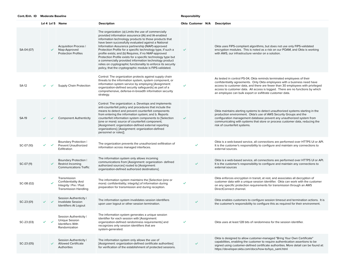|              |              | Lvl 4 Lvl 5 Name                                                                                     | <b>Description</b>                                                                                                                                                                                                                                                                                                                                                                                                                                                                                                                                                                                                                                               |              | Okta Customer N/A | <b>Description</b>                                                                                                                                                                                                                                                                                                                                                                  |
|--------------|--------------|------------------------------------------------------------------------------------------------------|------------------------------------------------------------------------------------------------------------------------------------------------------------------------------------------------------------------------------------------------------------------------------------------------------------------------------------------------------------------------------------------------------------------------------------------------------------------------------------------------------------------------------------------------------------------------------------------------------------------------------------------------------------------|--------------|-------------------|-------------------------------------------------------------------------------------------------------------------------------------------------------------------------------------------------------------------------------------------------------------------------------------------------------------------------------------------------------------------------------------|
| SA-04 (07)   | ✓            | Acquisition Process I<br>Niap-Approved<br><b>Protection Profiles</b>                                 | The organization: (a) Limits the use of commercially<br>provided information assurance (IA) and IA-enabled<br>information technology products to those products that<br>have been successfully evaluated against a National<br>Information Assurance partnership (NIAP)-approved<br>Protection Profile for a specific technology type, if such a<br>profile exists; and (b) Requires, if no NIAP-approved<br>Protection Profile exists for a specific technology type but<br>a commercially provided information technology product<br>relies on cryptographic functionality to enforce its security<br>policy, that the cryptographic module is FIPS-validated. |              |                   | Okta uses FIPS-compliant algorithms, but does not use only FIPS-validated<br>encryption modules. This is noted as a risk on our POAM, and Okta is working<br>with AWS, our infrastructure vendor on a solution.                                                                                                                                                                     |
| SA-12        |              | Supply Chain Protection                                                                              | Control: The organization protects against supply chain<br>threats to the information system, system component, or<br>information system service by employing [Assignment:<br>organization-defined security safeguards] as part of a<br>comprehensive, defense-in-breadth information security<br>strategy.                                                                                                                                                                                                                                                                                                                                                      |              |                   | As tested in control PS-04, Okta reminds terminated employees of their<br>confidentiality agreements. Only Okta employees with a business need have<br>access to customer data, and there are fewer than 30 employees with privileged<br>access to customer data. All access is logged. There are no functions by which<br>an employee can bulk export or exfiltrate customer data. |
| <b>SA-19</b> |              | <b>Component Authenticity</b>                                                                        | Control: The organization: a. Develops and implements<br>anti-counterfeit policy and procedures that include the<br>means to detect and prevent counterfeit components<br>from entering the information system; and b. Reports<br>counterfeit information system components to [Selection<br>(one or more): source of counterfeit component;<br>[Assignment: organization-defined external reporting<br>organizations]; [Assignment: organization-defined<br>personnel or roles]].                                                                                                                                                                               | $\checkmark$ |                   | Okta maintains alerting systems to detect unauthorized systems starting in the<br>production environment. Okta's use of AWS Security Groups and the<br>configuration management database prevent any unauthorized system from<br>communicating with systems that store or process customer data, reducing the<br>risk of counterfeit systems.                                       |
| SC-07 (10)   |              | Boundary Protection I<br>Prevent Unauthorized<br>Exfiltration                                        | The organization prevents the unauthorized exfiltration of<br>information across managed interfaces.                                                                                                                                                                                                                                                                                                                                                                                                                                                                                                                                                             |              | ✓                 | Okta is a web-based service, all connections are performed over HTTPS UI or API.<br>It is the customer's responsibility to configure and maintain any connections to<br>external sources.                                                                                                                                                                                           |
| SC-07 (11)   | $\checkmark$ | Boundary Protection I<br>Restrict Incoming<br><b>Communications Traffic</b>                          | The information system only allows incoming<br>communications from [Assignment: organization- defined<br>authorized sources] routed to [Assignment:<br>organization-defined authorized destinations].                                                                                                                                                                                                                                                                                                                                                                                                                                                            |              | $\checkmark$      | Okta is a web-based service, all connections are performed over HTTPS UI or API.<br>It is the customer's responsibility to configure and maintain any connections to<br>external sources                                                                                                                                                                                            |
| SC-08 (02)   |              | Transmission<br><b>Confidentiality And</b><br>Integrity   Pre / Post<br><b>Transmission Handling</b> | The information system maintains the [Selection (one or<br>more): confidentiality; integrity] of information during<br>preparation for transmission and during reception.                                                                                                                                                                                                                                                                                                                                                                                                                                                                                        |              |                   | Okta enforces encryption in transit, at rest, and associates all decryption of<br>customer data with a unique session identifier. Okta can work with the customer<br>on any specific protection requirements for transmission through an AWS<br>DirectConnect channel.                                                                                                              |
| SC-23 (01)   |              | Session Authenticity I<br><b>Invalidate Session</b><br>Identifiers At Logout                         | The information system invalidates session identifiers<br>upon user logout or other session termination.                                                                                                                                                                                                                                                                                                                                                                                                                                                                                                                                                         |              | $\checkmark$      | Okta enables customers to configure session timeout and termination actions. It is<br>the customer's responsibility to configure this as required for their environment.                                                                                                                                                                                                            |
| SC-23 (03)   |              | Session Authenticity I<br><b>Unique Session</b><br>Identifiers With<br>Randomization                 | The information system generates a unique session<br>identifier for each session with [Assignment:<br>organization-defined randomness requirements] and<br>recognizes only session identifiers that are<br>system-generated.                                                                                                                                                                                                                                                                                                                                                                                                                                     | ✓            |                   | Okta uses at least 128 bits of randomness for the session identifier.                                                                                                                                                                                                                                                                                                               |
| SC-23 (05)   | $\checkmark$ | Session Authenticity I<br><b>Allowed Certificate</b><br><b>Authorities</b>                           | The information system only allows the use of<br>[Assignment: organization-defined certificate authorities]<br>for verification of the establishment of protected sessions.                                                                                                                                                                                                                                                                                                                                                                                                                                                                                      |              | ✓                 | Okta is designed to allow customer-managed "Bring Your Own Certificate"<br>capabilities, enabling the customer to require authentication assertions to be<br>signed using customer-defined certificate authorities. More detail can be found at:<br>https://developer.okta.com/docs/how-to/byo_saml.html                                                                            |